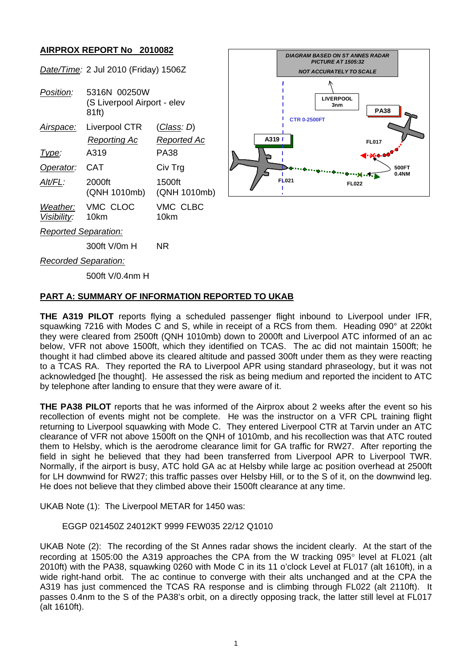### **AIRPROX REPORT No 2010082**

|                             | Date/Time: 2 Jul 2010 (Friday) 1506Z                 |                        |
|-----------------------------|------------------------------------------------------|------------------------|
| Position:                   | 5316N 00250W<br>(S Liverpool Airport - elev<br>81ft) |                        |
| Airspace:                   | Liverpool CTR                                        | (Class: D)             |
|                             | <u>Reporting Ac</u>                                  | <u>Reported Ac</u>     |
| <u> I ype:</u>              | A319                                                 | PA38                   |
| Operator:                   | CAT                                                  | Civ Trg                |
| Alt/FL:                     | 2000ft<br>(QNH 1010mb)                               | 1500ft<br>(QNH 1010mb) |
| Visibility:                 | Weather: VMC CLOC<br>10km                            | VMC CLBC<br>10km       |
| <b>Reported Separation:</b> |                                                      |                        |
|                             | 300ft V/0m H                                         | ΝR                     |



*Recorded Separation:*

500ft V/0.4nm H

## **PART A: SUMMARY OF INFORMATION REPORTED TO UKAB**

**THE A319 PILOT** reports flying a scheduled passenger flight inbound to Liverpool under IFR, squawking 7216 with Modes C and S, while in receipt of a RCS from them. Heading 090° at 220kt they were cleared from 2500ft (QNH 1010mb) down to 2000ft and Liverpool ATC informed of an ac below, VFR not above 1500ft, which they identified on TCAS. The ac did not maintain 1500ft; he thought it had climbed above its cleared altitude and passed 300ft under them as they were reacting to a TCAS RA. They reported the RA to Liverpool APR using standard phraseology, but it was not acknowledged [he thought]. He assessed the risk as being medium and reported the incident to ATC by telephone after landing to ensure that they were aware of it.

**THE PA38 PILOT** reports that he was informed of the Airprox about 2 weeks after the event so his recollection of events might not be complete. He was the instructor on a VFR CPL training flight returning to Liverpool squawking with Mode C. They entered Liverpool CTR at Tarvin under an ATC clearance of VFR not above 1500ft on the QNH of 1010mb, and his recollection was that ATC routed them to Helsby, which is the aerodrome clearance limit for GA traffic for RW27. After reporting the field in sight he believed that they had been transferred from Liverpool APR to Liverpool TWR. Normally, if the airport is busy, ATC hold GA ac at Helsby while large ac position overhead at 2500ft for LH downwind for RW27; this traffic passes over Helsby Hill, or to the S of it, on the downwind leg. He does not believe that they climbed above their 1500ft clearance at any time.

UKAB Note (1): The Liverpool METAR for 1450 was:

### EGGP 021450Z 24012KT 9999 FEW035 22/12 Q1010

UKAB Note (2): The recording of the St Annes radar shows the incident clearly. At the start of the recording at 1505:00 the A319 approaches the CPA from the W tracking 095° level at FL021 (alt 2010ft) with the PA38, squawking 0260 with Mode C in its 11 o'clock Level at FL017 (alt 1610ft), in a wide right-hand orbit. The ac continue to converge with their alts unchanged and at the CPA the A319 has just commenced the TCAS RA response and is climbing through FL022 (alt 2110ft). It passes 0.4nm to the S of the PA38's orbit, on a directly opposing track, the latter still level at FL017 (alt 1610ft).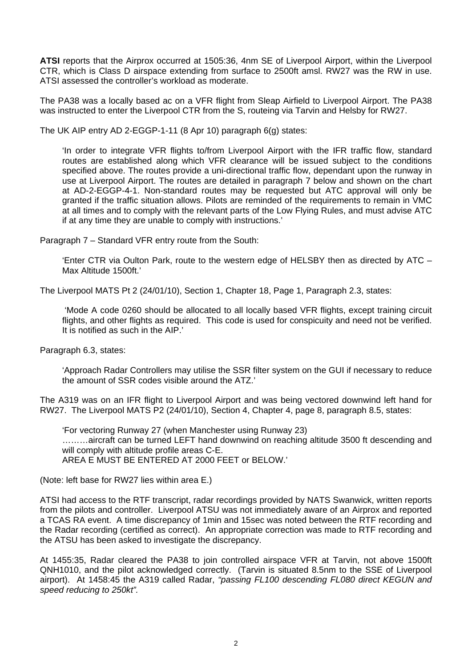**ATSI** reports that the Airprox occurred at 1505:36, 4nm SE of Liverpool Airport, within the Liverpool CTR, which is Class D airspace extending from surface to 2500ft amsl. RW27 was the RW in use. ATSI assessed the controller's workload as moderate.

The PA38 was a locally based ac on a VFR flight from Sleap Airfield to Liverpool Airport. The PA38 was instructed to enter the Liverpool CTR from the S, routeing via Tarvin and Helsby for RW27.

The UK AIP entry AD 2-EGGP-1-11 (8 Apr 10) paragraph 6(g) states:

'In order to integrate VFR flights to/from Liverpool Airport with the IFR traffic flow, standard routes are established along which VFR clearance will be issued subject to the conditions specified above. The routes provide a uni-directional traffic flow, dependant upon the runway in use at Liverpool Airport. The routes are detailed in paragraph 7 below and shown on the chart at AD-2-EGGP-4-1. Non-standard routes may be requested but ATC approval will only be granted if the traffic situation allows. Pilots are reminded of the requirements to remain in VMC at all times and to comply with the relevant parts of the Low Flying Rules, and must advise ATC if at any time they are unable to comply with instructions.'

Paragraph 7 – Standard VFR entry route from the South:

'Enter CTR via Oulton Park, route to the western edge of HELSBY then as directed by ATC – Max Altitude 1500ft.'

The Liverpool MATS Pt 2 (24/01/10), Section 1, Chapter 18, Page 1, Paragraph 2.3, states:

 'Mode A code 0260 should be allocated to all locally based VFR flights, except training circuit flights, and other flights as required. This code is used for conspicuity and need not be verified. It is notified as such in the AIP.'

Paragraph 6.3, states:

'Approach Radar Controllers may utilise the SSR filter system on the GUI if necessary to reduce the amount of SSR codes visible around the ATZ.'

The A319 was on an IFR flight to Liverpool Airport and was being vectored downwind left hand for RW27. The Liverpool MATS P2 (24/01/10), Section 4, Chapter 4, page 8, paragraph 8.5, states:

'For vectoring Runway 27 (when Manchester using Runway 23) ………aircraft can be turned LEFT hand downwind on reaching altitude 3500 ft descending and will comply with altitude profile areas C-E. AREA E MUST BE ENTERED AT 2000 FEET or BELOW.'

(Note: left base for RW27 lies within area E.)

ATSI had access to the RTF transcript, radar recordings provided by NATS Swanwick, written reports from the pilots and controller. Liverpool ATSU was not immediately aware of an Airprox and reported a TCAS RA event. A time discrepancy of 1min and 15sec was noted between the RTF recording and the Radar recording (certified as correct). An appropriate correction was made to RTF recording and the ATSU has been asked to investigate the discrepancy.

At 1455:35, Radar cleared the PA38 to join controlled airspace VFR at Tarvin, not above 1500ft QNH1010, and the pilot acknowledged correctly. (Tarvin is situated 8.5nm to the SSE of Liverpool airport). At 1458:45 the A319 called Radar, *"passing FL100 descending FL080 direct KEGUN and speed reducing to 250kt".*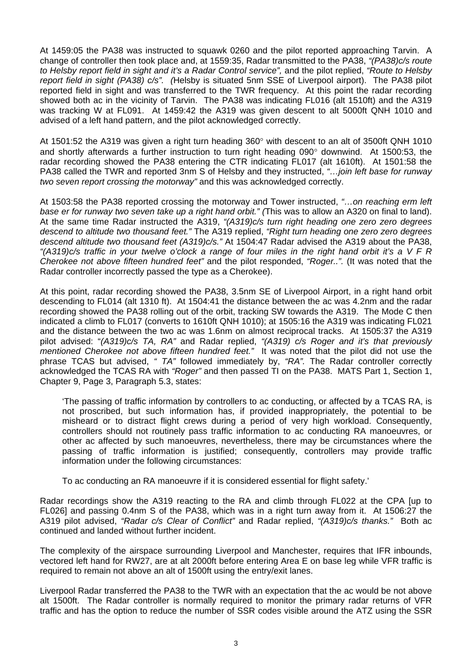At 1459:05 the PA38 was instructed to squawk 0260 and the pilot reported approaching Tarvin. A change of controller then took place and, at 1559:35, Radar transmitted to the PA38, *"(PA38)c/s route to Helsby report field in sight and it's a Radar Control service",* and the pilot replied, *"Route to Helsby report field in sight (PA38) c/s". (*Helsby is situated 5nm SSE of Liverpool airport). The PA38 pilot reported field in sight and was transferred to the TWR frequency. At this point the radar recording showed both ac in the vicinity of Tarvin. The PA38 was indicating FL016 (alt 1510ft) and the A319 was tracking W at FL091. At 1459:42 the A319 was given descent to alt 5000ft QNH 1010 and advised of a left hand pattern, and the pilot acknowledged correctly.

At 1501:52 the A319 was given a right turn heading 360° with descent to an alt of 3500ft QNH 1010 and shortly afterwards a further instruction to turn right heading 090° downwind. At 1500:53, the radar recording showed the PA38 entering the CTR indicating FL017 (alt 1610ft). At 1501:58 the PA38 called the TWR and reported 3nm S of Helsby and they instructed, *"…join left base for runway two seven report crossing the motorway"* and this was acknowledged correctly.

At 1503:58 the PA38 reported crossing the motorway and Tower instructed, *"…on reaching erm left base er for runway two seven take up a right hand orbit." (*This was to allow an A320 on final to land). At the same time Radar instructed the A319, *"(A319)c/s turn right heading one zero zero degrees descend to altitude two thousand feet."* The A319 replied, *"Right turn heading one zero zero degrees descend altitude two thousand feet (A319)c/s."* At 1504:47 Radar advised the A319 about the PA38, *"(A319)c/s traffic in your twelve o'clock a range of four miles in the right hand orbit it's a V F R Cherokee not above fifteen hundred feet"* and the pilot responded, *"Roger..".* (It was noted that the Radar controller incorrectly passed the type as a Cherokee).

At this point, radar recording showed the PA38, 3.5nm SE of Liverpool Airport, in a right hand orbit descending to FL014 (alt 1310 ft). At 1504:41 the distance between the ac was 4.2nm and the radar recording showed the PA38 rolling out of the orbit, tracking SW towards the A319. The Mode C then indicated a climb to FL017 (converts to 1610ft QNH 1010); at 1505:16 the A319 was indicating FL021 and the distance between the two ac was 1.6nm on almost reciprocal tracks. At 1505:37 the A319 pilot advised: "*(A319)c/s TA, RA"* and Radar replied, *"(A319) c/s Roger and it's that previously mentioned Cherokee not above fifteen hundred feet."* It was noted that the pilot did not use the phrase TCAS but advised, *" TA"* followed immediately by, *"RA".* The Radar controller correctly acknowledged the TCAS RA with *"Roger"* and then passed TI on the PA38. MATS Part 1, Section 1, Chapter 9, Page 3, Paragraph 5.3, states:

'The passing of traffic information by controllers to ac conducting, or affected by a TCAS RA, is not proscribed, but such information has, if provided inappropriately, the potential to be misheard or to distract flight crews during a period of very high workload. Consequently, controllers should not routinely pass traffic information to ac conducting RA manoeuvres, or other ac affected by such manoeuvres, nevertheless, there may be circumstances where the passing of traffic information is justified; consequently, controllers may provide traffic information under the following circumstances:

To ac conducting an RA manoeuvre if it is considered essential for flight safety.'

Radar recordings show the A319 reacting to the RA and climb through FL022 at the CPA [up to FL026] and passing 0.4nm S of the PA38, which was in a right turn away from it. At 1506:27 the A319 pilot advised, *"Radar c/s Clear of Conflict"* and Radar replied, *"(A319)c/s thanks."* Both ac continued and landed without further incident.

The complexity of the airspace surrounding Liverpool and Manchester, requires that IFR inbounds, vectored left hand for RW27, are at alt 2000ft before entering Area E on base leg while VFR traffic is required to remain not above an alt of 1500ft using the entry/exit lanes.

Liverpool Radar transferred the PA38 to the TWR with an expectation that the ac would be not above alt 1500ft. The Radar controller is normally required to monitor the primary radar returns of VFR traffic and has the option to reduce the number of SSR codes visible around the ATZ using the SSR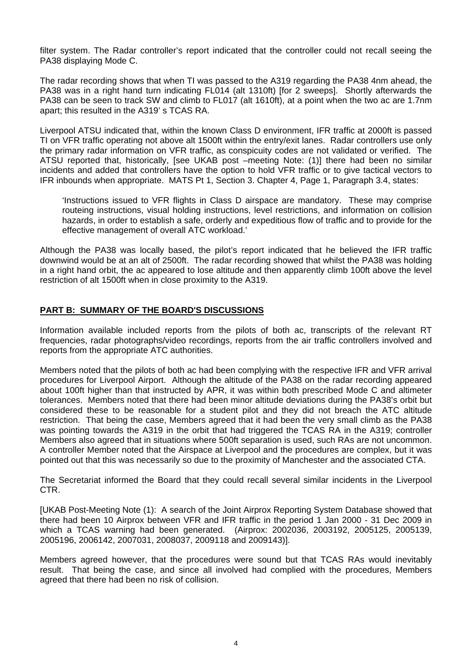filter system. The Radar controller's report indicated that the controller could not recall seeing the PA38 displaying Mode C.

The radar recording shows that when TI was passed to the A319 regarding the PA38 4nm ahead, the PA38 was in a right hand turn indicating FL014 (alt 1310ft) [for 2 sweeps]. Shortly afterwards the PA38 can be seen to track SW and climb to FL017 (alt 1610ft), at a point when the two ac are 1.7nm apart; this resulted in the A319' s TCAS RA.

Liverpool ATSU indicated that, within the known Class D environment, IFR traffic at 2000ft is passed TI on VFR traffic operating not above alt 1500ft within the entry/exit lanes. Radar controllers use only the primary radar information on VFR traffic, as conspicuity codes are not validated or verified. The ATSU reported that, historically, [see UKAB post –meeting Note: (1)] there had been no similar incidents and added that controllers have the option to hold VFR traffic or to give tactical vectors to IFR inbounds when appropriate. MATS Pt 1, Section 3. Chapter 4, Page 1, Paragraph 3.4, states:

'Instructions issued to VFR flights in Class D airspace are mandatory. These may comprise routeing instructions, visual holding instructions, level restrictions, and information on collision hazards, in order to establish a safe, orderly and expeditious flow of traffic and to provide for the effective management of overall ATC workload.'

Although the PA38 was locally based, the pilot's report indicated that he believed the IFR traffic downwind would be at an alt of 2500ft. The radar recording showed that whilst the PA38 was holding in a right hand orbit, the ac appeared to lose altitude and then apparently climb 100ft above the level restriction of alt 1500ft when in close proximity to the A319.

### **PART B: SUMMARY OF THE BOARD'S DISCUSSIONS**

Information available included reports from the pilots of both ac, transcripts of the relevant RT frequencies, radar photographs/video recordings, reports from the air traffic controllers involved and reports from the appropriate ATC authorities.

Members noted that the pilots of both ac had been complying with the respective IFR and VFR arrival procedures for Liverpool Airport. Although the altitude of the PA38 on the radar recording appeared about 100ft higher than that instructed by APR, it was within both prescribed Mode C and altimeter tolerances. Members noted that there had been minor altitude deviations during the PA38's orbit but considered these to be reasonable for a student pilot and they did not breach the ATC altitude restriction. That being the case, Members agreed that it had been the very small climb as the PA38 was pointing towards the A319 in the orbit that had triggered the TCAS RA in the A319; controller Members also agreed that in situations where 500ft separation is used, such RAs are not uncommon. A controller Member noted that the Airspace at Liverpool and the procedures are complex, but it was pointed out that this was necessarily so due to the proximity of Manchester and the associated CTA.

The Secretariat informed the Board that they could recall several similar incidents in the Liverpool CTR.

[UKAB Post-Meeting Note (1): A search of the Joint Airprox Reporting System Database showed that there had been 10 Airprox between VFR and IFR traffic in the period 1 Jan 2000 - 31 Dec 2009 in which a TCAS warning had been generated. (Airprox: 2002036, 2003192, 2005125, 2005139, 2005196, 2006142, 2007031, 2008037, 2009118 and 2009143)].

Members agreed however, that the procedures were sound but that TCAS RAs would inevitably result. That being the case, and since all involved had complied with the procedures, Members agreed that there had been no risk of collision.